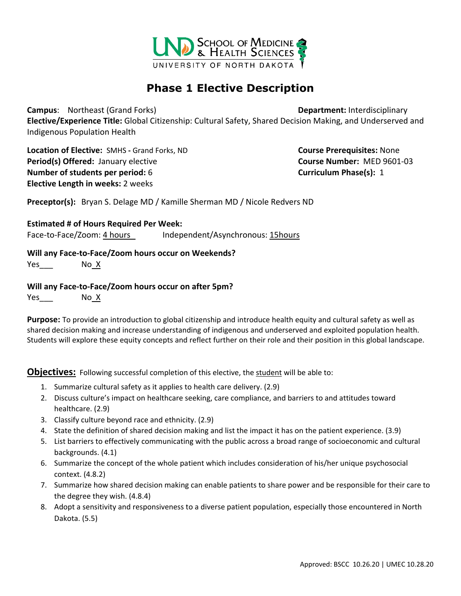

# **Phase 1 Elective Description**

**Campus**: Northeast (Grand Forks) **Department:** Interdisciplinary

**Elective/Experience Title:** Global Citizenship: Cultural Safety, Shared Decision Making, and Underserved and Indigenous Population Health

**Location of Elective:** SMHS **-** Grand Forks, ND **Course Prerequisites:** None **Period(s) Offered:** January elective **COUTS 2006 2007 12:33 Course Number:** MED 9601-03 **Number of students per period:** 6 **Curriculum Phase(s):** 1 **Elective Length in weeks:** 2 weeks

**Preceptor(s):** Bryan S. Delage MD / Kamille Sherman MD / Nicole Redvers ND

**Estimated # of Hours Required Per Week:**

Face-to-Face/Zoom: 4 hours Independent/Asynchronous: 15hours

#### **Will any Face-to-Face/Zoom hours occur on Weekends?**

 $Yes$  No  $X$ 

#### **Will any Face-to-Face/Zoom hours occur on after 5pm?**

 $Yes_{\_\_\_}$  No  $X$ 

**Purpose:** To provide an introduction to global citizenship and introduce health equity and cultural safety as well as shared decision making and increase understanding of indigenous and underserved and exploited population health. Students will explore these equity concepts and reflect further on their role and their position in this global landscape.

**Objectives:** Following successful completion of this elective, the student will be able to:

- 1. Summarize cultural safety as it applies to health care delivery. (2.9)
- 2. Discuss culture's impact on healthcare seeking, care compliance, and barriers to and attitudes toward healthcare. (2.9)
- 3. Classify culture beyond race and ethnicity. (2.9)
- 4. State the definition of shared decision making and list the impact it has on the patient experience. (3.9)
- 5. List barriers to effectively communicating with the public across a broad range of socioeconomic and cultural backgrounds. (4.1)
- 6. Summarize the concept of the whole patient which includes consideration of his/her unique psychosocial context. (4.8.2)
- 7. Summarize how shared decision making can enable patients to share power and be responsible for their care to the degree they wish. (4.8.4)
- 8. Adopt a sensitivity and responsiveness to a diverse patient population, especially those encountered in North Dakota. (5.5)